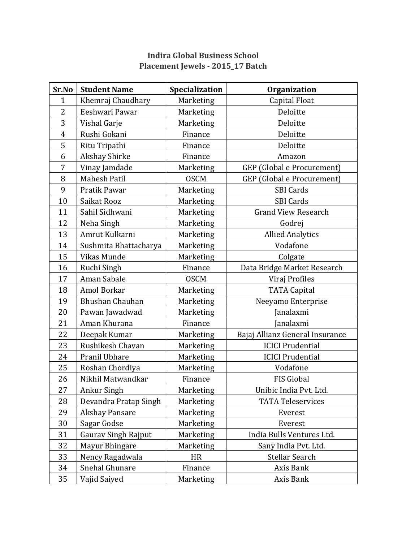| Sr.No          | <b>Student Name</b>   | Specialization | <b>Organization</b>               |
|----------------|-----------------------|----------------|-----------------------------------|
| $\mathbf{1}$   | Khemraj Chaudhary     | Marketing      | Capital Float                     |
| 2              | Eeshwari Pawar        | Marketing      | Deloitte                          |
| 3              | Vishal Garje          | Marketing      | Deloitte                          |
| $\overline{4}$ | Rushi Gokani          | Finance        | Deloitte                          |
| 5              | Ritu Tripathi         | Finance        | Deloitte                          |
| 6              | Akshay Shirke         | Finance        | Amazon                            |
| 7              | Vinay Jamdade         | Marketing      | <b>GEP</b> (Global e Procurement) |
| 8              | <b>Mahesh Patil</b>   | <b>OSCM</b>    | <b>GEP</b> (Global e Procurement) |
| 9              | Pratik Pawar          | Marketing      | <b>SBI Cards</b>                  |
| 10             | Saikat Rooz           | Marketing      | <b>SBI Cards</b>                  |
| 11             | Sahil Sidhwani        | Marketing      | <b>Grand View Research</b>        |
| 12             | Neha Singh            | Marketing      | Godrej                            |
| 13             | Amrut Kulkarni        | Marketing      | <b>Allied Analytics</b>           |
| 14             | Sushmita Bhattacharya | Marketing      | Vodafone                          |
| 15             | Vikas Munde           | Marketing      | Colgate                           |
| 16             | Ruchi Singh           | Finance        | Data Bridge Market Research       |
| 17             | Aman Sabale           | <b>OSCM</b>    | Viraj Profiles                    |
| 18             | Amol Borkar           | Marketing      | <b>TATA Capital</b>               |
| 19             | Bhushan Chauhan       | Marketing      | Neeyamo Enterprise                |
| 20             | Pawan Jawadwad        | Marketing      | <b>Janalaxmi</b>                  |
| 21             | Aman Khurana          | Finance        | Janalaxmi                         |
| 22             | Deepak Kumar          | Marketing      | Bajaj Allianz General Insurance   |
| 23             | Rushikesh Chavan      | Marketing      | <b>ICICI Prudential</b>           |
| 24             | Pranil Ubhare         | Marketing      | <b>ICICI</b> Prudential           |
| 25             | Roshan Chordiya       | Marketing      | Vodafone                          |
| 26             | Nikhil Matwandkar     | Finance        | FIS Global                        |
| 27             | Ankur Singh           | Marketing      | Unibic India Pvt. Ltd.            |
| 28             | Devandra Pratap Singh | Marketing      | <b>TATA Teleservices</b>          |
| 29             | <b>Akshay Pansare</b> | Marketing      | Everest                           |
| 30             | Sagar Godse           | Marketing      | Everest                           |
| 31             | Gaurav Singh Rajput   | Marketing      | India Bulls Ventures Ltd.         |
| 32             | Mayur Bhingare        | Marketing      | Sany India Pvt. Ltd.              |
| 33             | Nency Ragadwala       | <b>HR</b>      | Stellar Search                    |
| 34             | Snehal Ghunare        | Finance        | Axis Bank                         |
| 35             | Vajid Saiyed          | Marketing      | Axis Bank                         |

## **Indira Global Business School Placement Jewels - 2015\_17 Batch**